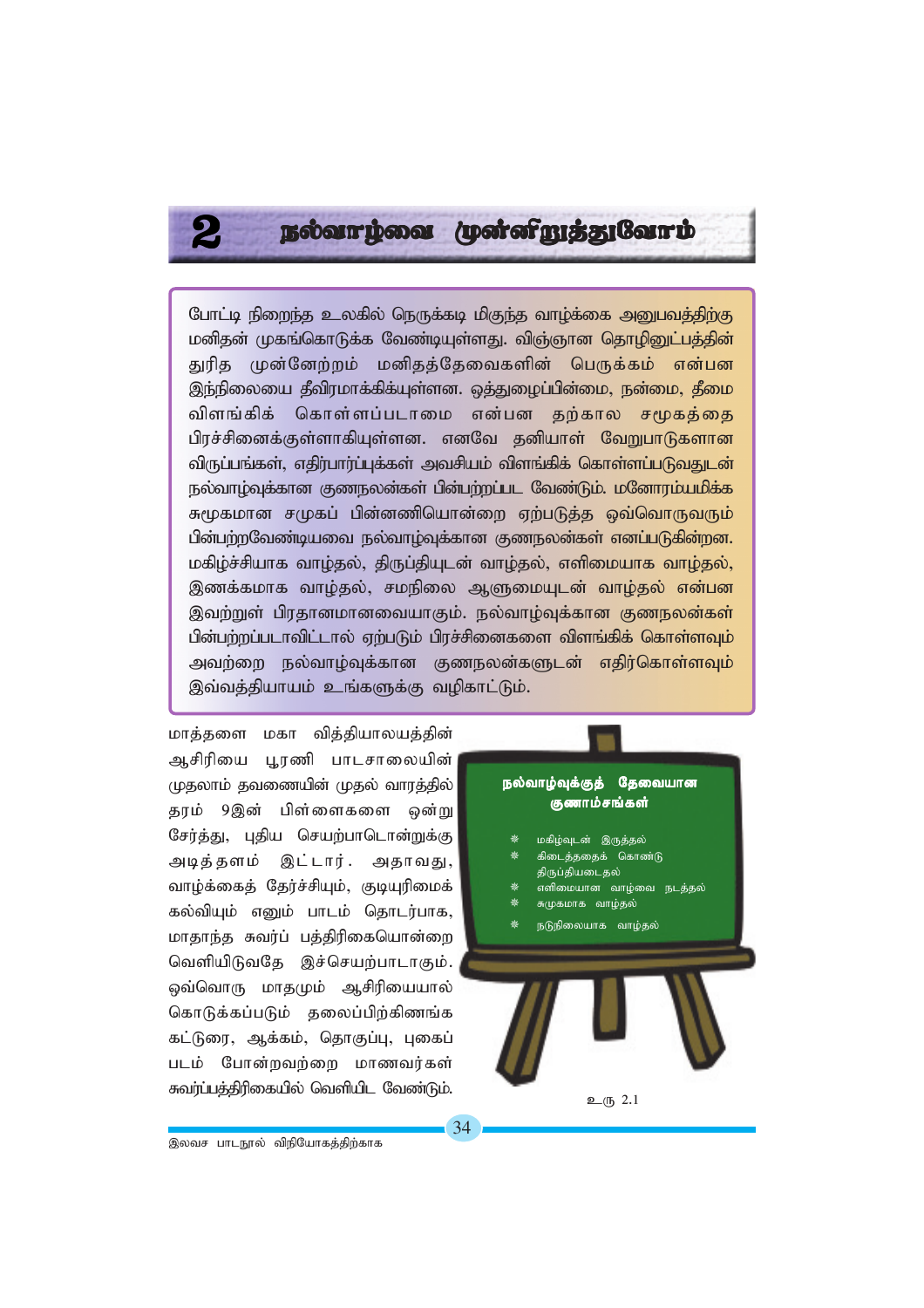## **ESCOUTIONAL (DETERTIONED)**

போட்டி நிறைந்த உலகில் நெருக்கடி மிகுந்த வாழ்க்கை அனுபவத்திற்கு மனிதன் முகங்கொடுக்க வேண்டியுள்ளது. விஞ்ஞான தொழினுட்பத்தின் துரித முன்னேற்றம் மனிதத்தேவைகளின் பெருக்கம் என்பன <u>இந்</u>நிலையை தீவிரமாக்கிக்யுள்ளன. ஒத்துழைப்பின்மை, நன்மை, தீமை விளங்கிக் கொள்ளப்படாமை என்பன தற்கால சமூகத்தை பிரச்சினைக்குள்ளாகியுள்ளன. எனவே தனியாள் வேறுபாடுகளான விருப்பங்கள், எதிர்பார்ப்புக்கள் அவசியம் விளங்கிக் கொள்ளப்படுவதுடன் நல்வாழ்வுக்கான குணநலன்கள் பின்பற்றப்பட வேண்டும். மனோரம்பமிக்க சுமுகமான சமுகப் பின்னணியொன்றை ஏற்படுத்த ஒவ்வொருவரும் பின்பற்றவேண்டியவை நல்வாழ்வுக்கான குணநலன்கள் எனப்படுகின்றன. மகிழ்ச்சியாக வாழ்தல், திருப்தியுடன் வாழ்தல், எளிமையாக வாழ்தல், இணக்கமாக வாழ்தல், சமநிலை ஆளுமையுடன் வாழ்தல் என்பன இவற்றுள் பிரதானமானவையாகும். நல்வாழ்வுக்கான குணநலன்கள் பின்பற்றப்படாவிட்டால் ஏற்படும் பிரச்சினைகளை விளங்கிக் கொள்ளவும் அவற்றை நல்வாழ்வுக்கான குணநலன்களுடன் எதிர்கொள்ளவும் இவ்வத்தியாயம் உங்களுக்கு வழிகாட்டும்.

மாத்தளை மகா வித்தியாலயத்தின் ஆசிரியை பூரணி பாடசாலையின் முதலாம் தவணையின் முதல் வாரத்தில் தரம் 9இன் பிள்ளைகளை ஒன்று சேர்த்து, புதிய செயற்பாடொன்றுக்கு அடித்தளம் இட்டார். அதாவது, வாழ்க்கைத் தேர்ச்சியும், குடியுரிமைக் கல்வியும் எனும் பாடம் தொடர்பாக, மாதாந்த சுவர்ப் பத்திரிகையொன்றை வெளியிடுவதே இச்செயற்பாடாகும். ஒவ்வொரு மாதமும் ஆசிரியையால் கொடுக்கப்படும் தலைப்பிற்கிணங்க கட்டுரை, ஆக்கம், தொகுப்பு, புகைப் படம் போன்றவற்றை மாணவர்கள் சுவா்ப்பக்கிரிகையில் வெளியிட வேண்டும்.

 $\boldsymbol{2}$ 

## நல்வாழ்வுக்குத் தேவையான குணாம்சங்<u>கள்</u>

- மகிழ்வுடன் இருத்தல்
- கிடைத்ததைக் கொண்டு திருப்தியடைதல்
- .<br><u>எளி</u>மையான வாழ்வை நடத்தல்
- சுமுகமாக வாழ்தல்
- நடுநிலையாக வாழ்தல்